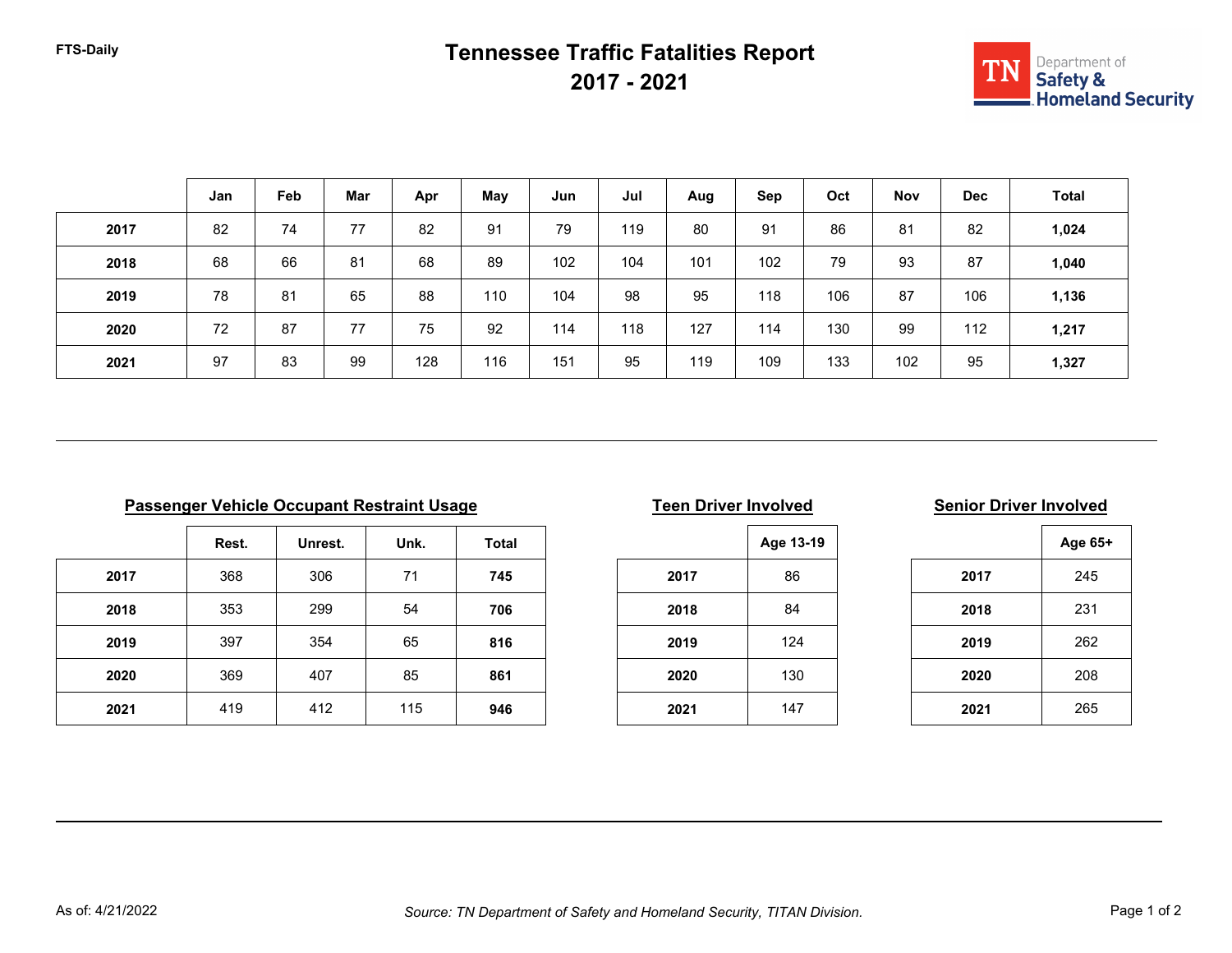## **FTS-Daily Tennessee Traffic Fatalities Report 2017 - 2021**



|      | Jan | Feb | Mar | Apr | May | Jun | Jul | Aug | Sep | Oct | <b>Nov</b> | <b>Dec</b> | <b>Total</b> |
|------|-----|-----|-----|-----|-----|-----|-----|-----|-----|-----|------------|------------|--------------|
| 2017 | 82  | 74  | 77  | 82  | 91  | 79  | 119 | 80  | 91  | 86  | 81         | 82         | 1,024        |
| 2018 | 68  | 66  | 81  | 68  | 89  | 102 | 104 | 101 | 102 | 79  | 93         | 87         | 1,040        |
| 2019 | 78  | 81  | 65  | 88  | 110 | 104 | 98  | 95  | 118 | 106 | 87         | 106        | 1,136        |
| 2020 | 72  | 87  | 77  | 75  | 92  | 114 | 118 | 127 | 114 | 130 | 99         | 112        | 1,217        |
| 2021 | 97  | 83  | 99  | 128 | 116 | 151 | 95  | 119 | 109 | 133 | 102        | 95         | 1,327        |

|      | Rest. | Unrest. | Unk. | <b>Total</b> |
|------|-------|---------|------|--------------|
| 2017 | 368   | 306     | 71   | 745          |
| 2018 | 353   | 299     | 54   | 706          |
| 2019 | 397   | 354     | 65   | 816          |
| 2020 | 369   | 407     | 85   | 861          |
| 2021 | 419   | 412     | 115  | 946          |

|  | <b>Teen Driver Involved</b> |
|--|-----------------------------|
|  |                             |

|      | Age 13-19 |
|------|-----------|
| 2017 | 86        |
| 2018 | 84        |
| 2019 | 124       |
| 2020 | 130       |
| 2021 | 147       |

### **Passenger Involved Parameter Involved Senior Driver Involved**

|      | Age 65+ |
|------|---------|
| 2017 | 245     |
| 2018 | 231     |
| 2019 | 262     |
| 2020 | 208     |
| 2021 | 265     |